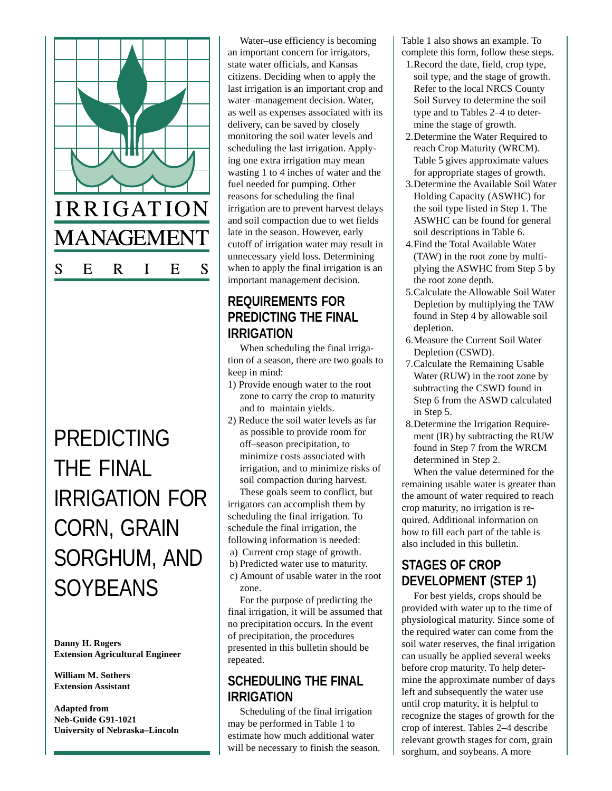

# PREDICTING THE FINAL IRRIGATION FOR CORN, GRAIN SORGHUM, AND **SOYBEANS**

**Danny H. Rogers Extension Agricultural Engineer**

**William M. Sothers Extension Assistant**

**Adapted from Neb-Guide G91-1021 University of Nebraska–Lincoln**

Water–use efficiency is becoming an important concern for irrigators, state water officials, and Kansas citizens. Deciding when to apply the last irrigation is an important crop and water–management decision. Water, as well as expenses associated with its delivery, can be saved by closely monitoring the soil water levels and scheduling the last irrigation. Applying one extra irrigation may mean wasting 1 to 4 inches of water and the fuel needed for pumping. Other reasons for scheduling the final irrigation are to prevent harvest delays and soil compaction due to wet fields late in the season. However, early cutoff of irrigation water may result in unnecessary yield loss. Determining when to apply the final irrigation is an important management decision.

## **REQUIREMENTS FOR PREDICTING THE FINAL IRRIGATION**

When scheduling the final irrigation of a season, there are two goals to keep in mind:

- 1) Provide enough water to the root zone to carry the crop to maturity and to maintain yields.
- 2) Reduce the soil water levels as far as possible to provide room for off–season precipitation, to minimize costs associated with irrigation, and to minimize risks of soil compaction during harvest. These goals seem to conflict, but

irrigators can accomplish them by scheduling the final irrigation. To schedule the final irrigation, the following information is needed:

- a) Current crop stage of growth.
- b) Predicted water use to maturity.
- c) Amount of usable water in the root zone.

For the purpose of predicting the final irrigation, it will be assumed that no precipitation occurs. In the event of precipitation, the procedures presented in this bulletin should be repeated.

### **SCHEDULING THE FINAL IRRIGATION**

Scheduling of the final irrigation may be performed in Table 1 to estimate how much additional water will be necessary to finish the season. Table 1 also shows an example. To complete this form, follow these steps.

- 1.Record the date, field, crop type, soil type, and the stage of growth. Refer to the local NRCS County Soil Survey to determine the soil type and to Tables 2–4 to determine the stage of growth.
- 2.Determine the Water Required to reach Crop Maturity (WRCM). Table 5 gives approximate values for appropriate stages of growth.
- 3.Determine the Available Soil Water Holding Capacity (ASWHC) for the soil type listed in Step 1. The ASWHC can be found for general soil descriptions in Table 6.
- 4.Find the Total Available Water (TAW) in the root zone by multiplying the ASWHC from Step 5 by the root zone depth.
- 5.Calculate the Allowable Soil Water Depletion by multiplying the TAW found in Step 4 by allowable soil depletion.
- 6.Measure the Current Soil Water Depletion (CSWD).
- 7.Calculate the Remaining Usable Water (RUW) in the root zone by subtracting the CSWD found in Step 6 from the ASWD calculated in Step 5.
- 8.Determine the Irrigation Requirement (IR) by subtracting the RUW found in Step 7 from the WRCM determined in Step 2.

When the value determined for the remaining usable water is greater than the amount of water required to reach crop maturity, no irrigation is required. Additional information on how to fill each part of the table is also included in this bulletin.

## **STAGES OF CROP DEVELOPMENT (STEP 1)**

For best yields, crops should be provided with water up to the time of physiological maturity. Since some of the required water can come from the soil water reserves, the final irrigation can usually be applied several weeks before crop maturity. To help determine the approximate number of days left and subsequently the water use until crop maturity, it is helpful to recognize the stages of growth for the crop of interest. Tables 2–4 describe relevant growth stages for corn, grain sorghum, and soybeans. A more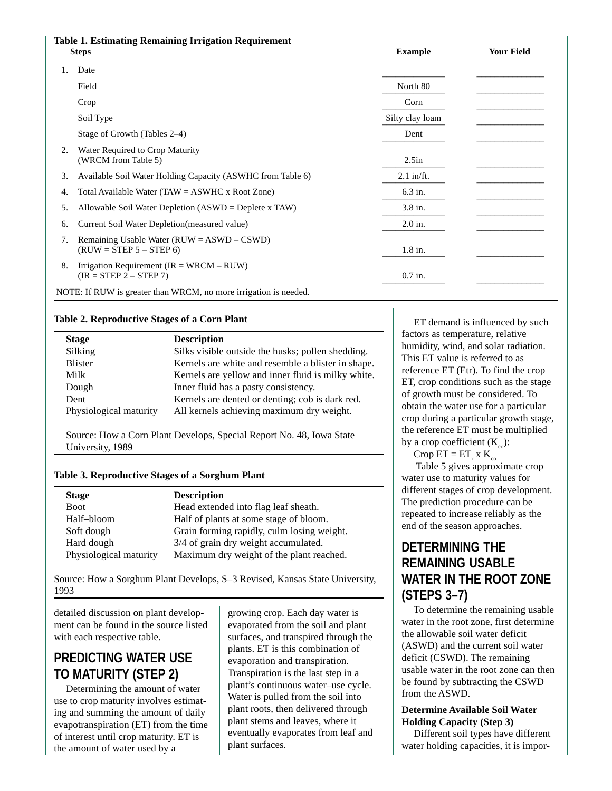## **Table 1. Estimating Remaining Irrigation Requirement**

| <b>Steps</b> |                                                                             | <b>Example</b>  | <b>Your Field</b> |
|--------------|-----------------------------------------------------------------------------|-----------------|-------------------|
| 1.           | Date                                                                        |                 |                   |
|              | Field                                                                       | North 80        |                   |
|              | Crop                                                                        | Corn            |                   |
|              | Soil Type                                                                   | Silty clay loam |                   |
|              | Stage of Growth (Tables 2–4)                                                | Dent            |                   |
| 2.           | Water Required to Crop Maturity<br>(WRCM from Table 5)                      | 2.5in           |                   |
| 3.           | Available Soil Water Holding Capacity (ASWHC from Table 6)                  | $2.1$ in/ft.    |                   |
| 4.           | Total Available Water (TAW = $ASWHC \times Root$ Zone)                      | 6.3 in.         |                   |
| 5.           | Allowable Soil Water Depletion $(ASWD = Deplete x TAW)$                     | 3.8 in.         |                   |
| 6.           | Current Soil Water Depletion (measured value)                               | $2.0$ in.       |                   |
| 7.           | Remaining Usable Water ( $RUW = ASWD - CSWD$ )<br>$(RUW = STEP 5 - STEP 6)$ | $1.8$ in.       |                   |
| 8.           | Irrigation Requirement ( $IR = WRCM - RUW$ )<br>$(IR = STEP 2 - STEP 7)$    | $0.7$ in.       |                   |
|              | NOTE: If RUW is greater than WRCM, no more irrigation is needed.            |                 |                   |

#### **Table 2. Reproductive Stages of a Corn Plant**

| <b>Stage</b>           | <b>Description</b>                                 |
|------------------------|----------------------------------------------------|
| Silking                | Silks visible outside the husks; pollen shedding.  |
| <b>Blister</b>         | Kernels are white and resemble a blister in shape. |
| Milk                   | Kernels are yellow and inner fluid is milky white. |
| Dough                  | Inner fluid has a pasty consistency.               |
| Dent                   | Kernels are dented or denting; cob is dark red.    |
| Physiological maturity | All kernels achieving maximum dry weight.          |

Source: How a Corn Plant Develops, Special Report No. 48, Iowa State University, 1989

#### **Table 3. Reproductive Stages of a Sorghum Plant**

| <b>Stage</b>           | <b>Description</b>                         |
|------------------------|--------------------------------------------|
| <b>Boot</b>            | Head extended into flag leaf sheath.       |
| Half-bloom             | Half of plants at some stage of bloom.     |
| Soft dough             | Grain forming rapidly, culm losing weight. |
| Hard dough             | 3/4 of grain dry weight accumulated.       |
| Physiological maturity | Maximum dry weight of the plant reached.   |

Source: How a Sorghum Plant Develops, S–3 Revised, Kansas State University, 1993

detailed discussion on plant development can be found in the source listed with each respective table.

## **PREDICTING WATER USE TO MATURITY (STEP 2)**

Determining the amount of water use to crop maturity involves estimating and summing the amount of daily evapotranspiration (ET) from the time of interest until crop maturity. ET is the amount of water used by a

growing crop. Each day water is evaporated from the soil and plant surfaces, and transpired through the plants. ET is this combination of evaporation and transpiration. Transpiration is the last step in a plant's continuous water–use cycle. Water is pulled from the soil into plant roots, then delivered through plant stems and leaves, where it eventually evaporates from leaf and plant surfaces.

ET demand is influenced by such factors as temperature, relative humidity, wind, and solar radiation. This ET value is referred to as reference ET (Etr). To find the crop ET, crop conditions such as the stage of growth must be considered. To obtain the water use for a particular crop during a particular growth stage, the reference ET must be multiplied by a crop coefficient  $(K_{\infty})$ :

Crop  $ET = ET_r x K_{co}$ 

 Table 5 gives approximate crop water use to maturity values for different stages of crop development. The prediction procedure can be repeated to increase reliably as the end of the season approaches.

## **DETERMINING THE REMAINING USABLE WATER IN THE ROOT ZONE (STEPS 3–7)**

To determine the remaining usable water in the root zone, first determine the allowable soil water deficit (ASWD) and the current soil water deficit (CSWD). The remaining usable water in the root zone can then be found by subtracting the CSWD from the ASWD.

#### **Determine Available Soil Water Holding Capacity (Step 3)**

Different soil types have different water holding capacities, it is impor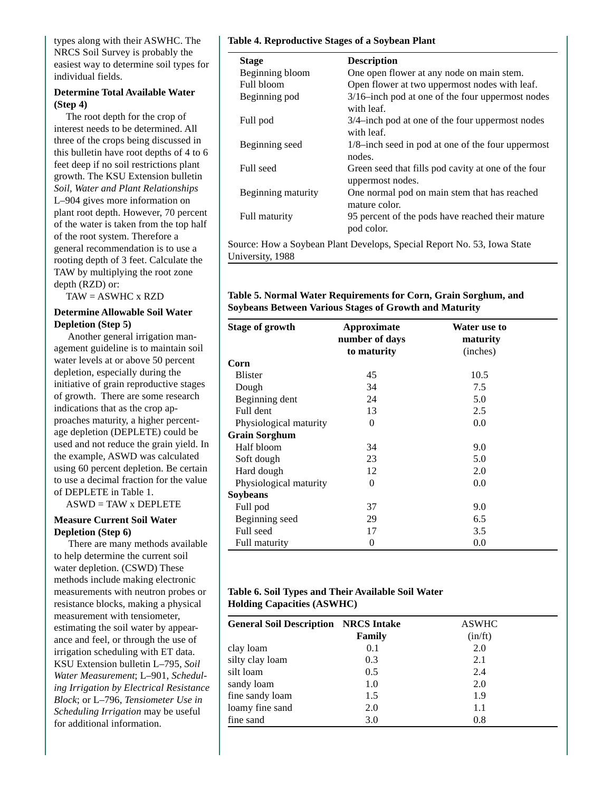types along with their ASWHC. The NRCS Soil Survey is probably the easiest way to determine soil types for individual fields.

#### **Determine Total Available Water (Step 4)**

The root depth for the crop of interest needs to be determined. All three of the crops being discussed in this bulletin have root depths of 4 to 6 feet deep if no soil restrictions plant growth. The KSU Extension bulletin *Soil, Water and Plant Relationships* L–904 gives more information on plant root depth. However, 70 percent of the water is taken from the top half of the root system. Therefore a general recommendation is to use a rooting depth of 3 feet. Calculate the TAW by multiplying the root zone depth (RZD) or:

TAW = ASWHC x RZD

#### **Determine Allowable Soil Water Depletion (Step 5)**

 Another general irrigation management guideline is to maintain soil water levels at or above 50 percent depletion, especially during the initiative of grain reproductive stages of growth. There are some research indications that as the crop approaches maturity, a higher percentage depletion (DEPLETE) could be used and not reduce the grain yield. In the example, ASWD was calculated using 60 percent depletion. Be certain to use a decimal fraction for the value of DEPLETE in Table 1.

 $ASWD = TAW \times DEPLETE$ 

#### **Measure Current Soil Water Depletion (Step 6)**

 There are many methods available to help determine the current soil water depletion. (CSWD) These methods include making electronic measurements with neutron probes or resistance blocks, making a physical measurement with tensiometer, estimating the soil water by appearance and feel, or through the use of irrigation scheduling with ET data. KSU Extension bulletin L–795, *Soil Water Measurement*; L–901, *Scheduling Irrigation by Electrical Resistance Block*; or L–796, *Tensiometer Use in Scheduling Irrigation* may be useful for additional information.

#### **Table 4. Reproductive Stages of a Soybean Plant**

| <b>Stage</b>       | <b>Description</b>                                                      |
|--------------------|-------------------------------------------------------------------------|
| Beginning bloom    | One open flower at any node on main stem.                               |
| Full bloom         | Open flower at two uppermost nodes with leaf.                           |
| Beginning pod      | $3/16$ -inch pod at one of the four uppermost nodes<br>with leaf.       |
| Full pod           | 3/4-inch pod at one of the four uppermost nodes<br>with leaf.           |
| Beginning seed     | $1/8$ -inch seed in pod at one of the four uppermost<br>nodes.          |
| Full seed          | Green seed that fills pod cavity at one of the four<br>uppermost nodes. |
| Beginning maturity | One normal pod on main stem that has reached<br>mature color.           |
| Full maturity      | 95 percent of the pods have reached their mature<br>pod color.          |

Source: How a Soybean Plant Develops, Special Report No. 53, Iowa State University, 1988

#### **Table 5. Normal Water Requirements for Corn, Grain Sorghum, and Soybeans Between Various Stages of Growth and Maturity**

| <b>Stage of growth</b> | Approximate<br>number of days<br>to maturity | Water use to<br>maturity<br>(inches) |
|------------------------|----------------------------------------------|--------------------------------------|
| Corn                   |                                              |                                      |
| <b>Blister</b>         | 45                                           | 10.5                                 |
| Dough                  | 34                                           | 7.5                                  |
| Beginning dent         | 24                                           | 5.0                                  |
| Full dent              | 13                                           | 2.5                                  |
| Physiological maturity | $\theta$                                     | 0.0                                  |
| <b>Grain Sorghum</b>   |                                              |                                      |
| Half bloom             | 34                                           | 9.0                                  |
| Soft dough             | 23                                           | 5.0                                  |
| Hard dough             | 12                                           | 2.0                                  |
| Physiological maturity | $\Omega$                                     | 0.0                                  |
| <b>Soybeans</b>        |                                              |                                      |
| Full pod               | 37                                           | 9.0                                  |
| Beginning seed         | 29                                           | 6.5                                  |
| Full seed              | 17                                           | 3.5                                  |
| Full maturity          | $\theta$                                     | 0.0                                  |

#### **Table 6. Soil Types and Their Available Soil Water Holding Capacities (ASWHC)**

| <b>General Soil Description NRCS Intake</b> | Family | <b>ASWHC</b><br>(in/ft) |
|---------------------------------------------|--------|-------------------------|
| clay loam                                   | 0.1    | 2.0                     |
| silty clay loam                             | 0.3    | 2.1                     |
| silt loam                                   | 0.5    | 2.4                     |
| sandy loam                                  | 1.0    | 2.0                     |
| fine sandy loam                             | 1.5    | 1.9                     |
| loamy fine sand                             | 2.0    | 1.1                     |
| fine sand                                   | 3.0    | 0.8                     |